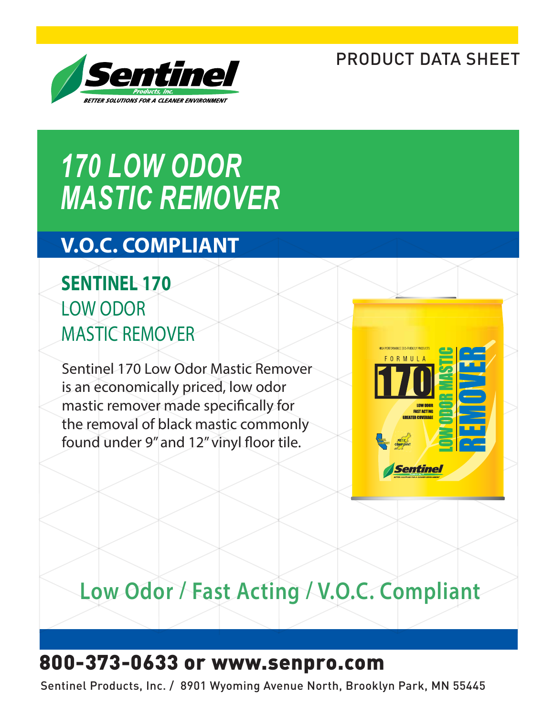### PRODUCT DATA SHEET



# *170 LOW ODOR MASTIC REMOVER*

### **V.O.C. COMPLIANT**

### **SENTINEL 170** LOW ODOR MASTIC REMOVER

Sentinel 170 Low Odor Mastic Remover is an economically priced, low odor mastic remover made specifically for the removal of black mastic commonly found under 9" and 12" vinyl floor tile.



## **Low Odor / Fast Acting / V.O.C. Compliant**

### 800-373-0633 or www.senpro.com

Sentinel Products, Inc. / 8901 Wyoming Avenue North, Brooklyn Park, MN 55445